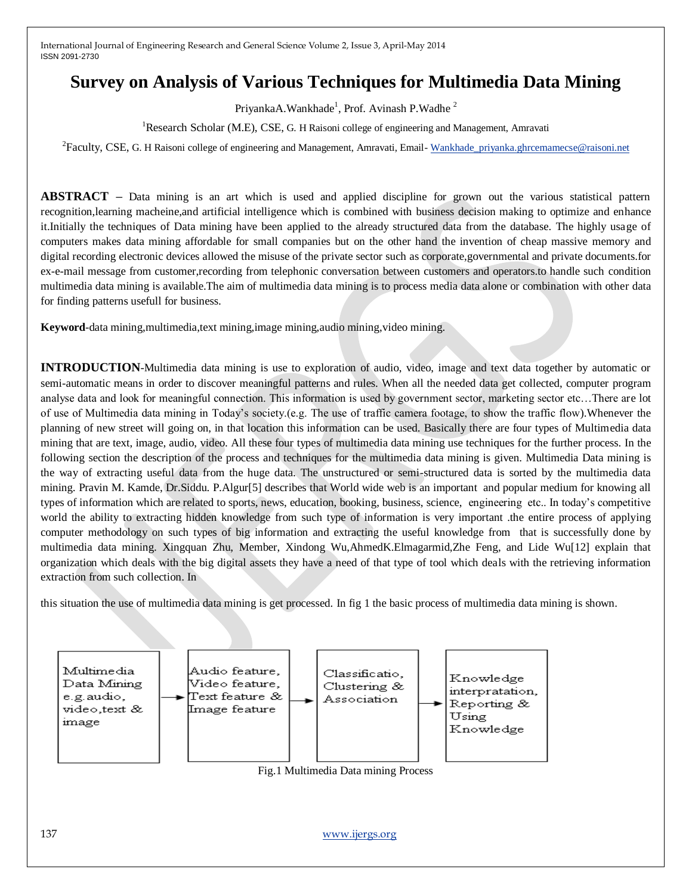# **Survey on Analysis of Various Techniques for Multimedia Data Mining**

PriyankaA.Wankhade<sup>1</sup>, Prof. Avinash P.Wadhe<sup>2</sup>

<sup>1</sup>Research Scholar (M.E), CSE, G. H Raisoni college of engineering and Management, Amravati

<sup>2</sup> Faculty, CSE, G. H Raisoni college of engineering and Management, Amravati, Email- [Wankhade\\_priyanka.ghrcemamecse@raisoni.net](mailto:Wankhade_priyanka.ghrcemamecse@raisoni.net)

**ABSTRACT –** Data mining is an art which is used and applied discipline for grown out the various statistical pattern recognition,learning macheine,and artificial intelligence which is combined with business decision making to optimize and enhance it.Initially the techniques of Data mining have been applied to the already structured data from the database. The highly usage of computers makes data mining affordable for small companies but on the other hand the invention of cheap massive memory and digital recording electronic devices allowed the misuse of the private sector such as corporate,governmental and private documents.for ex-e-mail message from customer,recording from telephonic conversation between customers and operators.to handle such condition multimedia data mining is available.The aim of multimedia data mining is to process media data alone or combination with other data for finding patterns usefull for business.

**Keyword**-data mining,multimedia,text mining, image mining, audio mining, video mining.

**INTRODUCTION**-Multimedia data mining is use to exploration of audio, video, image and text data together by automatic or semi-automatic means in order to discover meaningful patterns and rules. When all the needed data get collected, computer program analyse data and look for meaningful connection. This information is used by government sector, marketing sector etc…There are lot of use of Multimedia data mining in Today's society.(e.g. The use of traffic camera footage, to show the traffic flow).Whenever the planning of new street will going on, in that location this information can be used. Basically there are four types of Multimedia data mining that are text, image, audio, video. All these four types of multimedia data mining use techniques for the further process. In the following section the description of the process and techniques for the multimedia data mining is given. Multimedia Data mining is the way of extracting useful data from the huge data. The unstructured or semi-structured data is sorted by the multimedia data mining. Pravin M. Kamde, Dr.Siddu. P.Algur[5] describes that World wide web is an important and popular medium for knowing all types of information which are related to sports, news, education, booking, business, science, engineering etc.. In today's competitive world the ability to extracting hidden knowledge from such type of information is very important .the entire process of applying computer methodology on such types of big information and extracting the useful knowledge from that is successfully done by multimedia data mining. Xingquan Zhu, Member, Xindong Wu,AhmedK.Elmagarmid,Zhe Feng, and Lide Wu[12] explain that organization which deals with the big digital assets they have a need of that type of tool which deals with the retrieving information extraction from such collection. In

this situation the use of multimedia data mining is get processed. In fig 1 the basic process of multimedia data mining is shown.



137 [www.ijergs.org](http://www.ijergs.org/)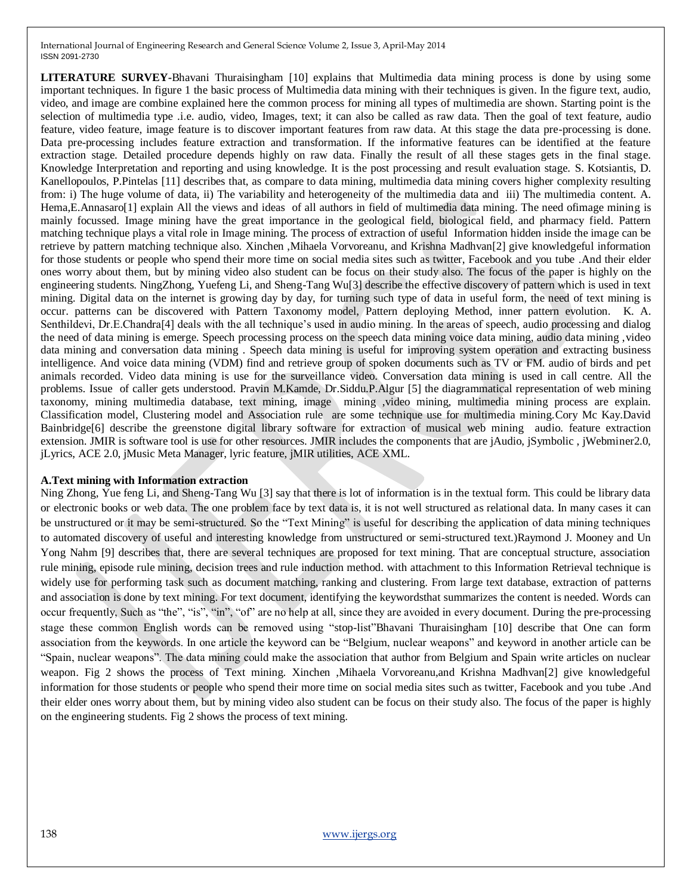**LITERATURE SURVEY-**Bhavani Thuraisingham [10] explains that Multimedia data mining process is done by using some important techniques. In figure 1 the basic process of Multimedia data mining with their techniques is given. In the figure text, audio, video, and image are combine explained here the common process for mining all types of multimedia are shown. Starting point is the selection of multimedia type .i.e. audio, video, Images, text; it can also be called as raw data. Then the goal of text feature, audio feature, video feature, image feature is to discover important features from raw data. At this stage the data pre-processing is done. Data pre-processing includes feature extraction and transformation. If the informative features can be identified at the feature extraction stage. Detailed procedure depends highly on raw data. Finally the result of all these stages gets in the final stage. Knowledge Interpretation and reporting and using knowledge. It is the post processing and result evaluation stage. S. Kotsiantis, D. Kanellopoulos, P.Pintelas [11] describes that, as compare to data mining, multimedia data mining covers higher complexity resulting from: i) The huge volume of data, ii) The variability and heterogeneity of the multimedia data and iii) The multimedia content. A. Hema,E.Annasaro[1] explain All the views and ideas of all authors in field of multimedia data mining. The need ofimage mining is mainly focussed. Image mining have the great importance in the geological field, biological field, and pharmacy field. Pattern matching technique plays a vital role in Image mining. The process of extraction of useful Information hidden inside the image can be retrieve by pattern matching technique also. Xinchen ,Mihaela Vorvoreanu, and Krishna Madhvan[2] give knowledgeful information for those students or people who spend their more time on social media sites such as twitter, Facebook and you tube .And their elder ones worry about them, but by mining video also student can be focus on their study also. The focus of the paper is highly on the engineering students. NingZhong, Yuefeng Li, and Sheng-Tang Wu[3] describe the effective discovery of pattern which is used in text mining. Digital data on the internet is growing day by day, for turning such type of data in useful form, the need of text mining is occur. patterns can be discovered with Pattern Taxonomy model, Pattern deploying Method, inner pattern evolution. K. A. Senthildevi, Dr.E.Chandra[4] deals with the all technique's used in audio mining. In the areas of speech, audio processing and dialog the need of data mining is emerge. Speech processing process on the speech data mining voice data mining, audio data mining ,video data mining and conversation data mining . Speech data mining is useful for improving system operation and extracting business intelligence. And voice data mining (VDM) find and retrieve group of spoken documents such as TV or FM. audio of birds and pet animals recorded. Video data mining is use for the surveillance video. Conversation data mining is used in call centre. All the problems. Issue of caller gets understood. Pravin M.Kamde, Dr.Siddu.P.Algur [5] the diagrammatical representation of web mining taxonomy, mining multimedia database, text mining, image mining ,video mining, multimedia mining process are explain. Classification model, Clustering model and Association rule are some technique use for multimedia mining.Cory Mc Kay.David Bainbridge[6] describe the greenstone digital library software for extraction of musical web mining audio. feature extraction extension. JMIR is software tool is use for other resources. JMIR includes the components that are jAudio, jSymbolic , jWebminer2.0, jLyrics, ACE 2.0, jMusic Meta Manager, lyric feature, jMIR utilities, ACE XML.

#### **A.Text mining with Information extraction**

Ning Zhong, Yue feng Li, and Sheng-Tang Wu [3] say that there is lot of information is in the textual form. This could be library data or electronic books or web data. The one problem face by text data is, it is not well structured as relational data. In many cases it can be unstructured or it may be semi-structured. So the "Text Mining" is useful for describing the application of data mining techniques to automated discovery of useful and interesting knowledge from unstructured or semi-structured text.)Raymond J. Mooney and Un Yong Nahm [9] describes that, there are several techniques are proposed for text mining. That are conceptual structure, association rule mining, episode rule mining, decision trees and rule induction method. with attachment to this Information Retrieval technique is widely use for performing task such as document matching, ranking and clustering. From large text database, extraction of patterns and association is done by text mining. For text document, identifying the keywordsthat summarizes the content is needed. Words can occur frequently, Such as "the", "is", "in", "of" are no help at all, since they are avoided in every document. During the pre-processing stage these common English words can be removed using "stop-list"Bhavani Thuraisingham [10] describe that One can form association from the keywords. In one article the keyword can be "Belgium, nuclear weapons" and keyword in another article can be "Spain, nuclear weapons". The data mining could make the association that author from Belgium and Spain write articles on nuclear weapon. Fig 2 shows the process of Text mining. Xinchen ,Mihaela Vorvoreanu,and Krishna Madhvan[2] give knowledgeful information for those students or people who spend their more time on social media sites such as twitter, Facebook and you tube .And their elder ones worry about them, but by mining video also student can be focus on their study also. The focus of the paper is highly on the engineering students. Fig 2 shows the process of text mining.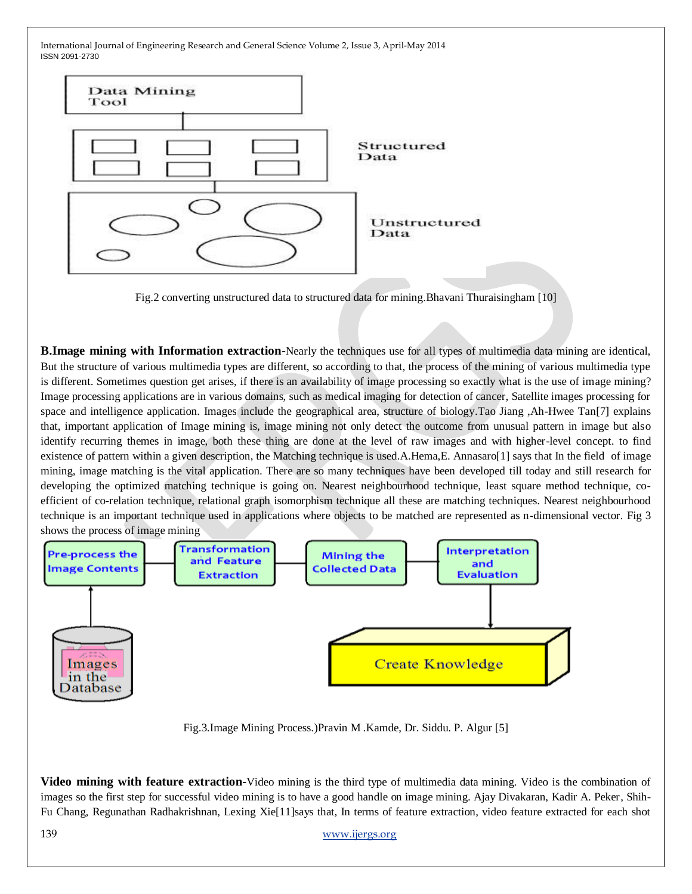

Fig.2 converting unstructured data to structured data for mining.Bhavani Thuraisingham [10]

**B.Image mining with Information extraction-**Nearly the techniques use for all types of multimedia data mining are identical, But the structure of various multimedia types are different, so according to that, the process of the mining of various multimedia type is different. Sometimes question get arises, if there is an availability of image processing so exactly what is the use of image mining? Image processing applications are in various domains, such as medical imaging for detection of cancer, Satellite images processing for space and intelligence application. Images include the geographical area, structure of biology.Tao Jiang ,Ah-Hwee Tan[7] explains that, important application of Image mining is, image mining not only detect the outcome from unusual pattern in image but also identify recurring themes in image, both these thing are done at the level of raw images and with higher-level concept. to find existence of pattern within a given description, the Matching technique is used.A.Hema,E. Annasaro[1] says that In the field of image mining, image matching is the vital application. There are so many techniques have been developed till today and still research for developing the optimized matching technique is going on. Nearest neighbourhood technique, least square method technique, coefficient of co-relation technique, relational graph isomorphism technique all these are matching techniques. Nearest neighbourhood technique is an important technique used in applications where objects to be matched are represented as n-dimensional vector. Fig 3 shows the process of image mining



Fig.3.Image Mining Process.)Pravin M .Kamde, Dr. Siddu. P. Algur [5]

**Video mining with feature extraction-**Video mining is the third type of multimedia data mining. Video is the combination of images so the first step for successful video mining is to have a good handle on image mining. Ajay Divakaran, Kadir A. Peker, Shih-Fu Chang, Regunathan Radhakrishnan, Lexing Xie[11]says that, In terms of feature extraction, video feature extracted for each shot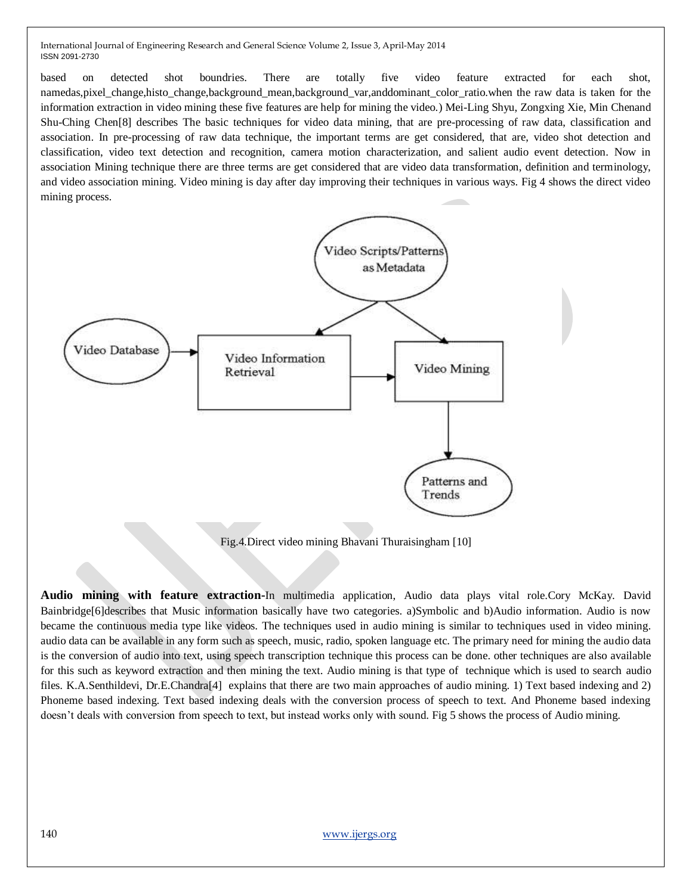based on detected shot boundries. There are totally five video feature extracted for each shot, namedas,pixel\_change,histo\_change,background\_mean,background\_var,anddominant\_color\_ratio.when the raw data is taken for the information extraction in video mining these five features are help for mining the video.) Mei-Ling Shyu, Zongxing Xie, Min Chenand Shu-Ching Chen[8] describes The basic techniques for video data mining, that are pre-processing of raw data, classification and association. In pre-processing of raw data technique, the important terms are get considered, that are, video shot detection and classification, video text detection and recognition, camera motion characterization, and salient audio event detection. Now in association Mining technique there are three terms are get considered that are video data transformation, definition and terminology, and video association mining. Video mining is day after day improving their techniques in various ways. Fig 4 shows the direct video mining process.



Fig.4.Direct video mining Bhavani Thuraisingham [10]

**Audio mining with feature extraction-**In multimedia application, Audio data plays vital role.Cory McKay. David Bainbridge[6]describes that Music information basically have two categories. a)Symbolic and b)Audio information. Audio is now became the continuous media type like videos. The techniques used in audio mining is similar to techniques used in video mining. audio data can be available in any form such as speech, music, radio, spoken language etc. The primary need for mining the audio data is the conversion of audio into text, using speech transcription technique this process can be done. other techniques are also available for this such as keyword extraction and then mining the text. Audio mining is that type of technique which is used to search audio files. K.A.Senthildevi, Dr.E.Chandra[4] explains that there are two main approaches of audio mining. 1) Text based indexing and 2) Phoneme based indexing. Text based indexing deals with the conversion process of speech to text. And Phoneme based indexing doesn't deals with conversion from speech to text, but instead works only with sound. Fig 5 shows the process of Audio mining.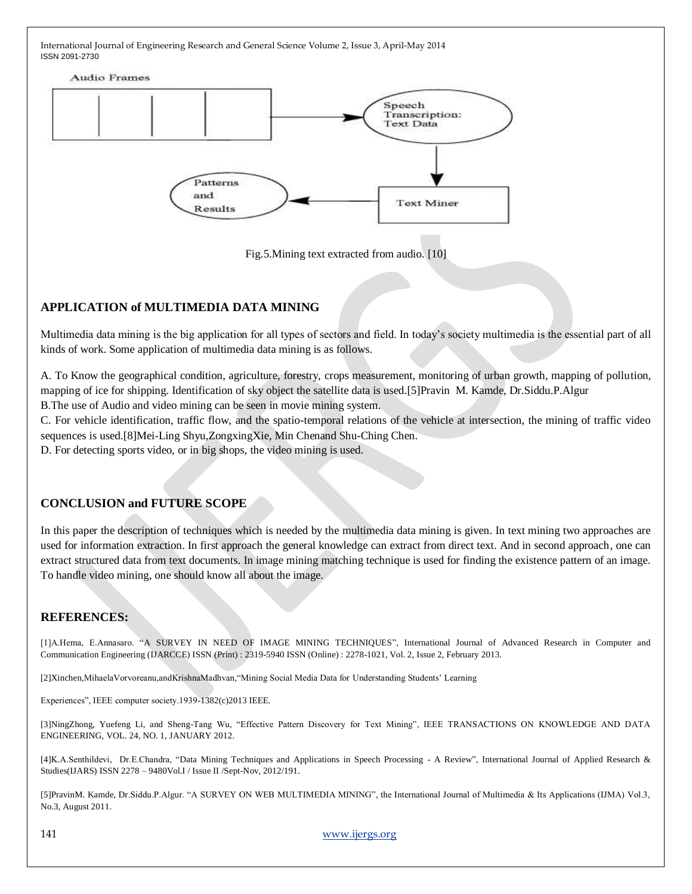

Fig.5.Mining text extracted from audio. [10]

# **APPLICATION of MULTIMEDIA DATA MINING**

Multimedia data mining is the big application for all types of sectors and field. In today's society multimedia is the essential part of all kinds of work. Some application of multimedia data mining is as follows.

A. To Know the geographical condition, agriculture, forestry, crops measurement, monitoring of urban growth, mapping of pollution, mapping of ice for shipping. Identification of sky object the satellite data is used.[5]Pravin M. Kamde, Dr.Siddu.P.Algur B.The use of Audio and video mining can be seen in movie mining system.

C. For vehicle identification, traffic flow, and the spatio-temporal relations of the vehicle at intersection, the mining of traffic video sequences is used.[8]Mei-Ling Shyu,ZongxingXie, Min Chenand Shu-Ching Chen.

D. For detecting sports video, or in big shops, the video mining is used.

## **CONCLUSION and FUTURE SCOPE**

In this paper the description of techniques which is needed by the multimedia data mining is given. In text mining two approaches are used for information extraction. In first approach the general knowledge can extract from direct text. And in second approach, one can extract structured data from text documents. In image mining matching technique is used for finding the existence pattern of an image. To handle video mining, one should know all about the image.

## **REFERENCES:**

[1]A.Hema, E.Annasaro. "A SURVEY IN NEED OF IMAGE MINING TECHNIQUES", International Journal of Advanced Research in Computer and Communication Engineering (IJARCCE) ISSN (Print) : 2319-5940 ISSN (Online) : 2278-1021, Vol. 2, Issue 2, February 2013.

[2]Xinchen,MihaelaVorvoreanu,andKrishnaMadhvan,"Mining Social Media Data for Understanding Students' Learning

Experiences", IEEE computer society.1939-1382(c)2013 IEEE.

[3]NingZhong, Yuefeng Li, and Sheng-Tang Wu, "Effective Pattern Discovery for Text Mining", IEEE TRANSACTIONS ON KNOWLEDGE AND DATA ENGINEERING, VOL. 24, NO. 1, JANUARY 2012.

[4]K.A.Senthildevi, Dr.E.Chandra, "Data Mining Techniques and Applications in Speech Processing - A Review", International Journal of Applied Research & Studies(IJARS) ISSN 2278 – 9480Vol.I / Issue II /Sept-Nov, 2012/191.

[5]PravinM. Kamde, Dr.Siddu.P.Algur. "A SURVEY ON WEB MULTIMEDIA MINING", the International Journal of Multimedia & Its Applications (IJMA) Vol.3, No.3, August 2011.

141 [www.ijergs.org](http://www.ijergs.org/)